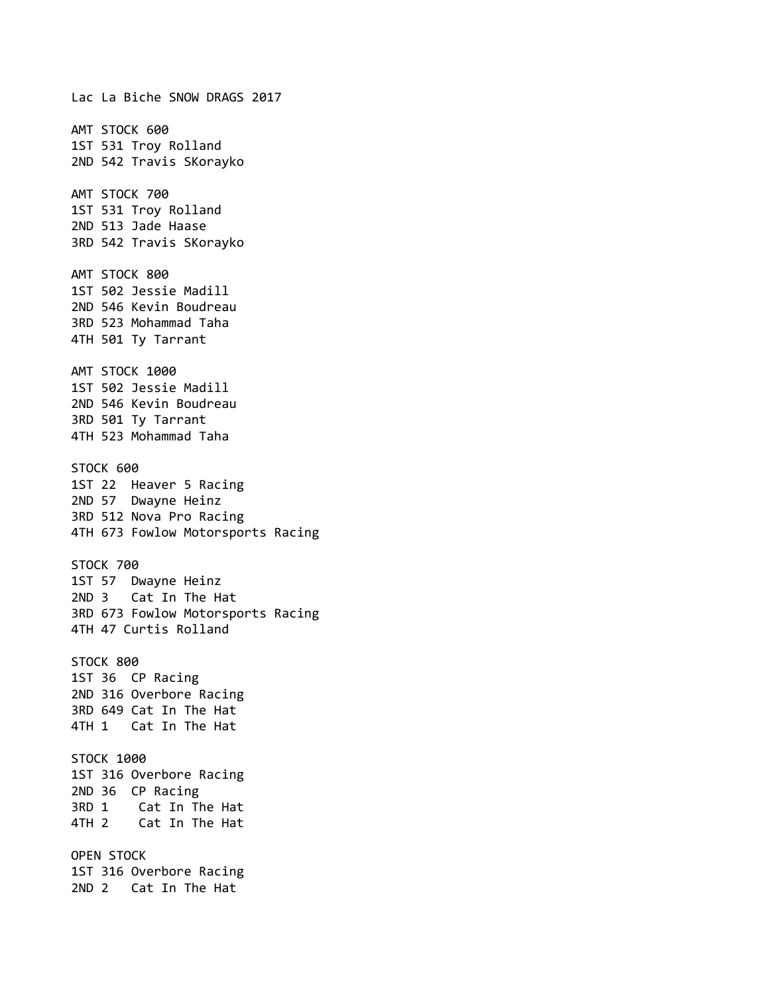Lac La Biche SNOW DRAGS 2017 AMT STOCK 600 1ST 531 Troy Rolland 2ND 542 Travis SKorayko AMT STOCK 700 1ST 531 Troy Rolland 2ND 513 Jade Haase 3RD 542 Travis SKorayko AMT STOCK 800 1ST 502 Jessie Madill 2ND 546 Kevin Boudreau 3RD 523 Mohammad Taha 4TH 501 Ty Tarrant AMT STOCK 1000 1ST 502 Jessie Madill 2ND 546 Kevin Boudreau 3RD 501 Ty Tarrant 4TH 523 Mohammad Taha STOCK 600 1ST 22 Heaver 5 Racing 2ND 57 Dwayne Heinz 3RD 512 Nova Pro Racing 4TH 673 Fowlow Motorsports Racing STOCK 700 1ST 57 Dwayne Heinz 2ND 3 Cat In The Hat 3RD 673 Fowlow Motorsports Racing 4TH 47 Curtis Rolland STOCK 800 1ST 36 CP Racing 2ND 316 Overbore Racing 3RD 649 Cat In The Hat 4TH 1 Cat In The Hat STOCK 1000 1ST 316 Overbore Racing 2ND 36 CP Racing 3RD 1 Cat In The Hat 4TH 2 Cat In The Hat OPEN STOCK 1ST 316 Overbore Racing 2ND 2 Cat In The Hat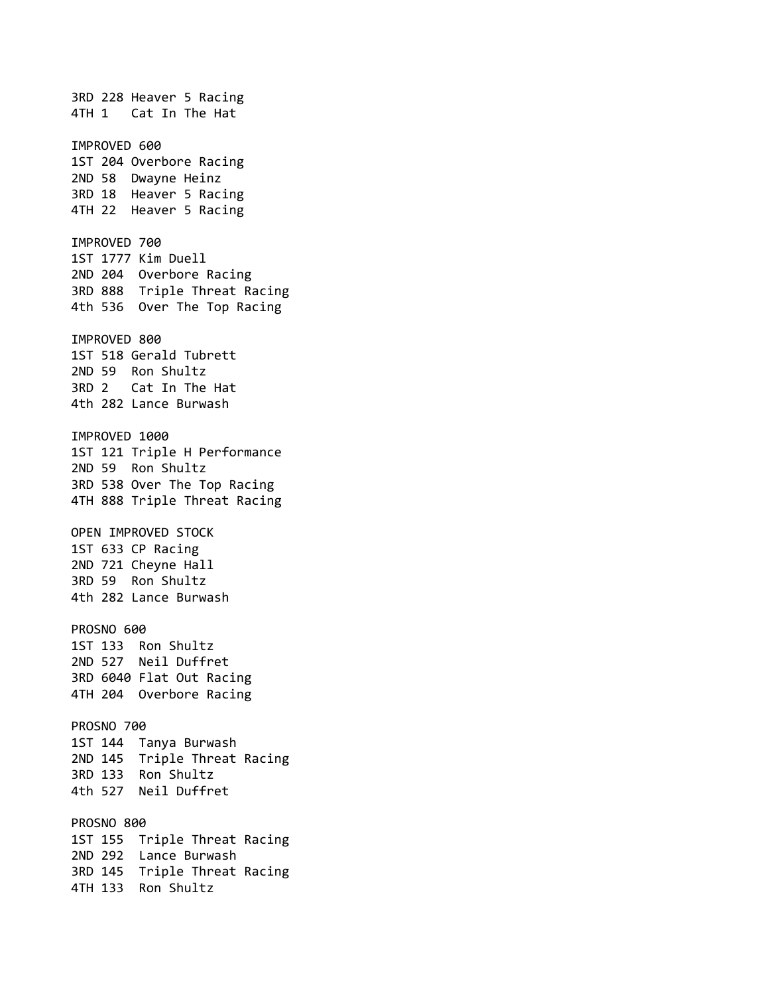3RD 228 Heaver 5 Racing 4TH 1 Cat In The Hat IMPROVED 600 1ST 204 Overbore Racing 2ND 58 Dwayne Heinz 3RD 18 Heaver 5 Racing 4TH 22 Heaver 5 Racing IMPROVED 700 1ST 1777 Kim Duell 2ND 204 Overbore Racing 3RD 888 Triple Threat Racing 4th 536 Over The Top Racing IMPROVED 800 1ST 518 Gerald Tubrett 2ND 59 Ron Shultz 3RD 2 Cat In The Hat 4th 282 Lance Burwash IMPROVED 1000 1ST 121 Triple H Performance 2ND 59 Ron Shultz 3RD 538 Over The Top Racing 4TH 888 Triple Threat Racing OPEN IMPROVED STOCK 1ST 633 CP Racing 2ND 721 Cheyne Hall 3RD 59 Ron Shultz 4th 282 Lance Burwash PROSNO 600 1ST 133 Ron Shultz 2ND 527 Neil Duffret 3RD 6040 Flat Out Racing 4TH 204 Overbore Racing PROSNO 700 1ST 144 Tanya Burwash 2ND 145 Triple Threat Racing 3RD 133 Ron Shultz 4th 527 Neil Duffret PROSNO 800 1ST 155 Triple Threat Racing 2ND 292 Lance Burwash 3RD 145 Triple Threat Racing 4TH 133 Ron Shultz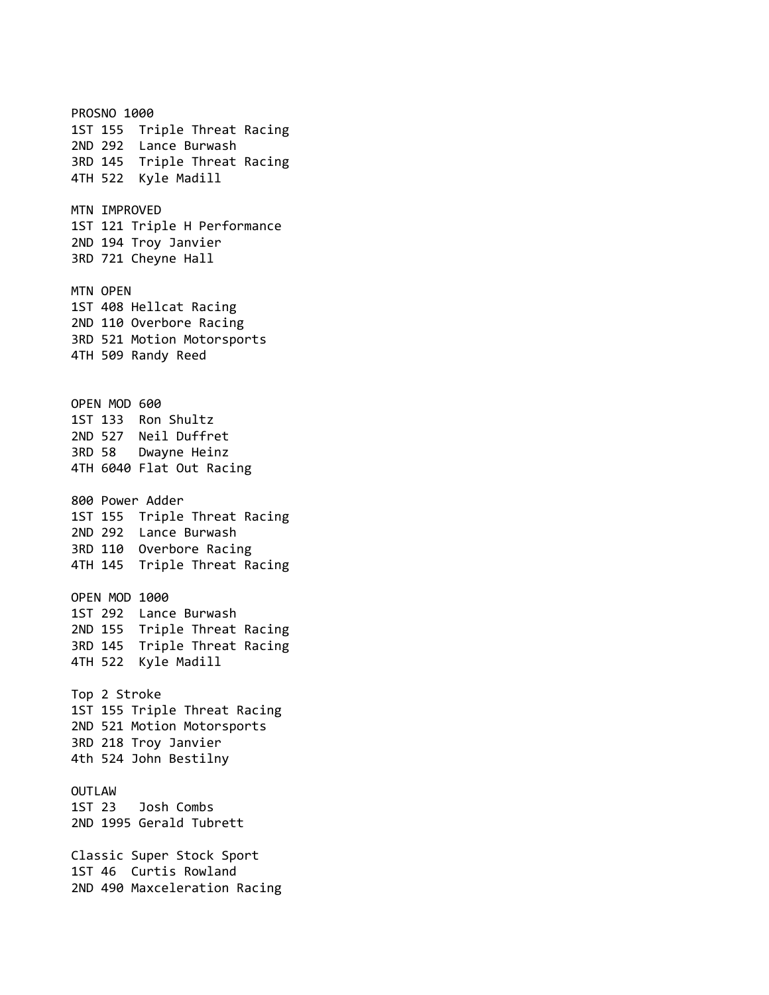**PROSNO 1000** 1ST 155 Triple Threat Racing 2ND 292 Lance Burwash 3RD 145 Triple Threat Racing 4TH 522 Kyle Madill MTN IMPROVED 1ST 121 Triple H Performance 2ND 194 Troy Janvier 3RD 721 Cheyne Hall MTN OPEN 1ST 408 Hellcat Racing 2ND 110 Overbore Racing 3RD 521 Motion Motorsports 4TH 509 Randy Reed OPEN MOD 600 1ST 133 Ron Shultz 2ND 527 Neil Duffret 3RD 58 Dwayne Heinz 4TH 6040 Flat Out Racing 800 Power Adder 1ST 155 Triple Threat Racing 2ND 292 Lance Burwash 3RD 110 Overbore Racing 4TH 145 Triple Threat Racing OPEN MOD 1000 1ST 292 Lance Burwash 2ND 155 Triple Threat Racing 3RD 145 Triple Threat Racing 4TH 522 Kyle Madill Top 2 Stroke 1ST 155 Triple Threat Racing 2ND 521 Motion Motorsports 3RD 218 Troy Janvier 4th 524 John Bestilny OUTLAW 1ST 23 Josh Combs 2ND 1995 Gerald Tubrett Classic Super Stock Sport 1ST 46 Curtis Rowland 2ND 490 Maxceleration Racing